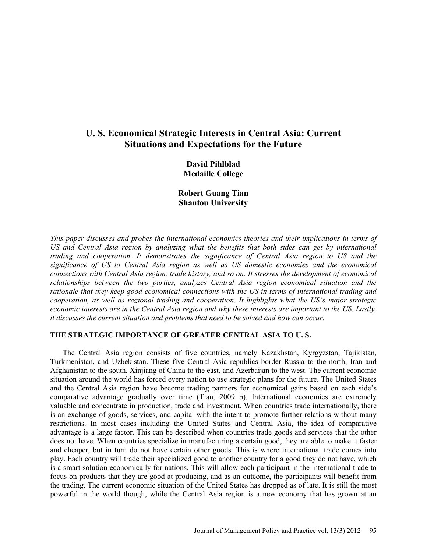# **U. S. Economical Strategic Interests in Central Asia: Current Situations and Expectations for the Future**

**David Pihlblad Medaille College**

**Robert Guang Tian Shantou University**

*This paper discusses and probes the international economics theories and their implications in terms of US and Central Asia region by analyzing what the benefits that both sides can get by international trading and cooperation. It demonstrates the significance of Central Asia region to US and the significance of US to Central Asia region as well as US domestic economies and the economical connections with Central Asia region, trade history, and so on. It stresses the development of economical relationships between the two parties, analyzes Central Asia region economical situation and the rationale that they keep good economical connections with the US in terms of international trading and cooperation, as well as regional trading and cooperation. It highlights what the US's major strategic economic interests are in the Central Asia region and why these interests are important to the US. Lastly, it discusses the current situation and problems that need to be solved and how can occur.* 

## **THE STRATEGIC IMPORTANCE OF GREATER CENTRAL ASIA TO U. S.**

The Central Asia region consists of five countries, namely Kazakhstan, Kyrgyzstan, Tajikistan, Turkmenistan, and Uzbekistan. These five Central Asia republics border Russia to the north, Iran and Afghanistan to the south, Xinjiang of China to the east, and Azerbaijan to the west. The current economic situation around the world has forced every nation to use strategic plans for the future. The United States and the Central Asia region have become trading partners for economical gains based on each side's comparative advantage gradually over time (Tian, 2009 b). International economics are extremely valuable and concentrate in production, trade and investment. When countries trade internationally, there is an exchange of goods, services, and capital with the intent to promote further relations without many restrictions. In most cases including the United States and Central Asia, the idea of comparative advantage is a large factor. This can be described when countries trade goods and services that the other does not have. When countries specialize in manufacturing a certain good, they are able to make it faster and cheaper, but in turn do not have certain other goods. This is where international trade comes into play. Each country will trade their specialized good to another country for a good they do not have, which is a smart solution economically for nations. This will allow each participant in the international trade to focus on products that they are good at producing, and as an outcome, the participants will benefit from the trading. The current economic situation of the United States has dropped as of late. It is still the most powerful in the world though, while the Central Asia region is a new economy that has grown at an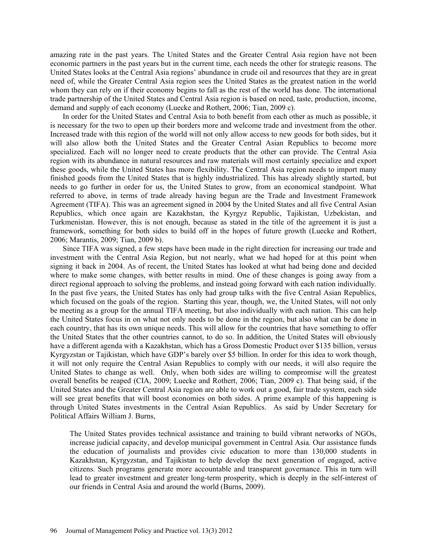amazing rate in the past years. The United States and the Greater Central Asia region have not been economic partners in the past years but in the current time, each needs the other for strategic reasons. The United States looks at the Central Asia regions' abundance in crude oil and resources that they are in great need of, while the Greater Central Asia region sees the United States as the greatest nation in the world whom they can rely on if their economy begins to fall as the rest of the world has done. The international trade partnership of the United States and Central Asia region is based on need, taste, production, income, demand and supply of each economy (Luecke and Rothert, 2006; Tian, 2009 c).

In order for the United States and Central Asia to both benefit from each other as much as possible, it is necessary for the two to open up their borders more and welcome trade and investment from the other. Increased trade with this region of the world will not only allow access to new goods for both sides, but it will also allow both the United States and the Greater Central Asian Republics to become more specialized. Each will no longer need to create products that the other can provide. The Central Asia region with its abundance in natural resources and raw materials will most certainly specialize and export these goods, while the United States has more flexibility. The Central Asia region needs to import many finished goods from the United States that is highly industrialized. This has already slightly started, but needs to go further in order for us, the United States to grow, from an economical standpoint. What referred to above, in terms of trade already having begun are the Trade and Investment Framework Agreement (TIFA). This was an agreement signed in 2004 by the United States and all five Central Asian Republics, which once again are Kazakhstan, the Kyrgyz Republic, Tajikistan, Uzbekistan, and Turkmenistan. However, this is not enough, because as stated in the title of the agreement it is just a framework, something for both sides to build off in the hopes of future growth (Luecke and Rothert, 2006; Marantis, 2009; Tian, 2009 b).

Since TIFA was signed, a few steps have been made in the right direction for increasing our trade and investment with the Central Asia Region, but not nearly, what we had hoped for at this point when signing it back in 2004. As of recent, the United States has looked at what had being done and decided where to make some changes, with better results in mind. One of these changes is going away from a direct regional approach to solving the problems, and instead going forward with each nation individually. In the past five years, the United States has only had group talks with the five Central Asian Republics, which focused on the goals of the region. Starting this year, though, we, the United States, will not only be meeting as a group for the annual TIFA meeting, but also individually with each nation. This can help the United States focus in on what not only needs to be done in the region, but also what can be done in each country, that has its own unique needs. This will allow for the countries that have something to offer the United States that the other countries cannot, to do so. In addition, the United States will obviously have a different agenda with a Kazakhstan, which has a Gross Domestic Product over \$135 billion, versus Kyrgyzstan or Tajikistan, which have GDP's barely over \$5 billion. In order for this idea to work though, it will not only require the Central Asian Republics to comply with our needs, it will also require the United States to change as well. Only, when both sides are willing to compromise will the greatest overall benefits be reaped (CIA, 2009; Luecke and Rothert, 2006; Tian, 2009 c). That being said, if the United States and the Greater Central Asia region are able to work out a good, fair trade system, each side will see great benefits that will boost economies on both sides. A prime example of this happening is through United States investments in the Central Asian Republics. As said by Under Secretary for Political Affairs William J. Burns,

The United States provides technical assistance and training to build vibrant networks of NGOs, increase judicial capacity, and develop municipal government in Central Asia. Our assistance funds the education of journalists and provides civic education to more than 130,000 students in Kazakhstan, Kyrgyzstan, and Tajikistan to help develop the next generation of engaged, active citizens. Such programs generate more accountable and transparent governance. This in turn will lead to greater investment and greater long-term prosperity, which is deeply in the self-interest of our friends in Central Asia and around the world (Burns, 2009).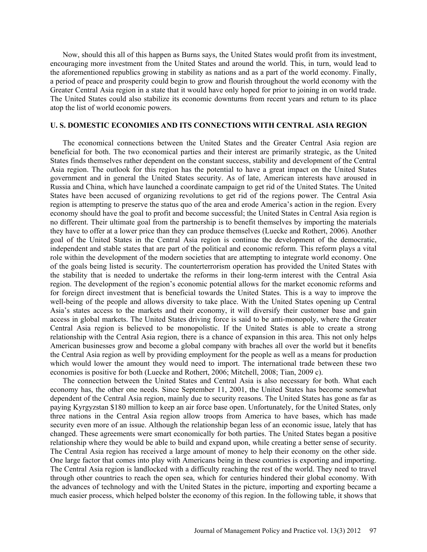Now, should this all of this happen as Burns says, the United States would profit from its investment, encouraging more investment from the United States and around the world. This, in turn, would lead to the aforementioned republics growing in stability as nations and as a part of the world economy. Finally, a period of peace and prosperity could begin to grow and flourish throughout the world economy with the Greater Central Asia region in a state that it would have only hoped for prior to joining in on world trade. The United States could also stabilize its economic downturns from recent years and return to its place atop the list of world economic powers.

#### **U. S. DOMESTIC ECONOMIES AND ITS CONNECTIONS WITH CENTRAL ASIA REGION**

The economical connections between the United States and the Greater Central Asia region are beneficial for both. The two economical parties and their interest are primarily strategic, as the United States finds themselves rather dependent on the constant success, stability and development of the Central Asia region. The outlook for this region has the potential to have a great impact on the United States government and in general the United States security. As of late, American interests have aroused in Russia and China, which have launched a coordinate campaign to get rid of the United States. The United States have been accused of organizing revolutions to get rid of the regions power. The Central Asia region is attempting to preserve the status quo of the area and erode America's action in the region. Every economy should have the goal to profit and become successful; the United States in Central Asia region is no different. Their ultimate goal from the partnership is to benefit themselves by importing the materials they have to offer at a lower price than they can produce themselves (Luecke and Rothert, 2006). Another goal of the United States in the Central Asia region is continue the development of the democratic, independent and stable states that are part of the political and economic reform. This reform plays a vital role within the development of the modern societies that are attempting to integrate world economy. One of the goals being listed is security. The counterterrorism operation has provided the United States with the stability that is needed to undertake the reforms in their long-term interest with the Central Asia region. The development of the region's economic potential allows for the market economic reforms and for foreign direct investment that is beneficial towards the United States. This is a way to improve the well-being of the people and allows diversity to take place. With the United States opening up Central Asia's states access to the markets and their economy, it will diversify their customer base and gain access in global markets. The United States driving force is said to be anti-monopoly, where the Greater Central Asia region is believed to be monopolistic. If the United States is able to create a strong relationship with the Central Asia region, there is a chance of expansion in this area. This not only helps American businesses grow and become a global company with braches all over the world but it benefits the Central Asia region as well by providing employment for the people as well as a means for production which would lower the amount they would need to import. The international trade between these two economies is positive for both (Luecke and Rothert, 2006; Mitchell, 2008; Tian, 2009 c).

The connection between the United States and Central Asia is also necessary for both. What each economy has, the other one needs. Since September 11, 2001, the United States has become somewhat dependent of the Central Asia region, mainly due to security reasons. The United States has gone as far as paying Kyrgyzstan \$180 million to keep an air force base open. Unfortunately, for the United States, only three nations in the Central Asia region allow troops from America to have bases, which has made security even more of an issue. Although the relationship began less of an economic issue, lately that has changed. These agreements were smart economically for both parties. The United States began a positive relationship where they would be able to build and expand upon, while creating a better sense of security. The Central Asia region has received a large amount of money to help their economy on the other side. One large factor that comes into play with Americans being in these countries is exporting and importing. The Central Asia region is landlocked with a difficulty reaching the rest of the world. They need to travel through other countries to reach the open sea, which for centuries hindered their global economy. With the advances of technology and with the United States in the picture, importing and exporting became a much easier process, which helped bolster the economy of this region. In the following table, it shows that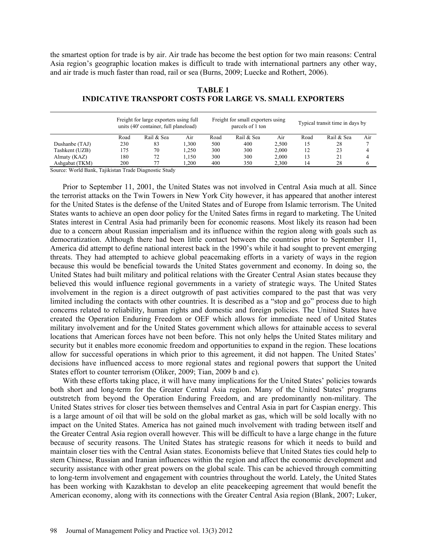the smartest option for trade is by air. Air trade has become the best option for two main reasons: Central Asia region's geographic location makes is difficult to trade with international partners any other way, and air trade is much faster than road, rail or sea (Burns, 2009; Luecke and Rothert, 2006).

|                | Freight for large exporters using full<br>units (40' container, full planeload) |            | Freight for small exporters using<br>parcels of 1 ton |      |            | Typical transit time in days by |      |            |     |
|----------------|---------------------------------------------------------------------------------|------------|-------------------------------------------------------|------|------------|---------------------------------|------|------------|-----|
|                | Road                                                                            | Rail & Sea | Air                                                   | Road | Rail & Sea | Air                             | Road | Rail & Sea | Air |
| Dushanbe (TAJ) | 230                                                                             | 83         | 1.300                                                 | 500  | 400        | 2.500                           | 15   | 28         |     |
| Tashkent (UZB) | 175                                                                             | 70         | 1.250                                                 | 300  | 300        | 2.000                           | 12   | 23         |     |
| Almaty (KAZ)   | 180                                                                             | 72         | 1.150                                                 | 300  | 300        | 2.000                           | 13   | 21         | 4   |
| Ashgabat (TKM) | 200                                                                             | 77         | .200                                                  | 400  | 350        | 2.300                           | 4،   | 28         |     |

# **TABLE 1 INDICATIVE TRANSPORT COSTS FOR LARGE VS. SMALL EXPORTERS**

Source: World Bank, Tajikistan Trade Diagnostic Study

Prior to September 11, 2001, the United States was not involved in Central Asia much at all. Since the terrorist attacks on the Twin Towers in New York City however, it has appeared that another interest for the United States is the defense of the United States and of Europe from Islamic terrorism. The United States wants to achieve an open door policy for the United Sates firms in regard to marketing. The United States interest in Central Asia had primarily been for economic reasons. Most likely its reason had been due to a concern about Russian imperialism and its influence within the region along with goals such as democratization. Although there had been little contact between the countries prior to September 11, America did attempt to define national interest back in the 1990's while it had sought to prevent emerging threats. They had attempted to achieve global peacemaking efforts in a variety of ways in the region because this would be beneficial towards the United States government and economy. In doing so, the United States had built military and political relations with the Greater Central Asian states because they believed this would influence regional governments in a variety of strategic ways. The United States involvement in the region is a direct outgrowth of past activities compared to the past that was very limited including the contacts with other countries. It is described as a "stop and go" process due to high concerns related to reliability, human rights and domestic and foreign policies. The United States have created the Operation Enduring Freedom or OEF which allows for immediate need of United States military involvement and for the United States government which allows for attainable access to several locations that American forces have not been before. This not only helps the United States military and security but it enables more economic freedom and opportunities to expand in the region. These locations allow for successful operations in which prior to this agreement, it did not happen. The United States' decisions have influenced access to more regional states and regional powers that support the United States effort to counter terrorism (Oliker, 2009; Tian, 2009 b and c).

With these efforts taking place, it will have many implications for the United States' policies towards both short and long-term for the Greater Central Asia region. Many of the United States' programs outstretch from beyond the Operation Enduring Freedom, and are predominantly non-military. The United States strives for closer ties between themselves and Central Asia in part for Caspian energy. This is a large amount of oil that will be sold on the global market as gas, which will be sold locally with no impact on the United States. America has not gained much involvement with trading between itself and the Greater Central Asia region overall however. This will be difficult to have a large change in the future because of security reasons. The United States has strategic reasons for which it needs to build and maintain closer ties with the Central Asian states. Economists believe that United States ties could help to stem Chinese, Russian and Iranian influences within the region and affect the economic development and security assistance with other great powers on the global scale. This can be achieved through committing to long-term involvement and engagement with countries throughout the world. Lately, the United States has been working with Kazakhstan to develop an elite peacekeeping agreement that would benefit the American economy, along with its connections with the Greater Central Asia region (Blank, 2007; Luker,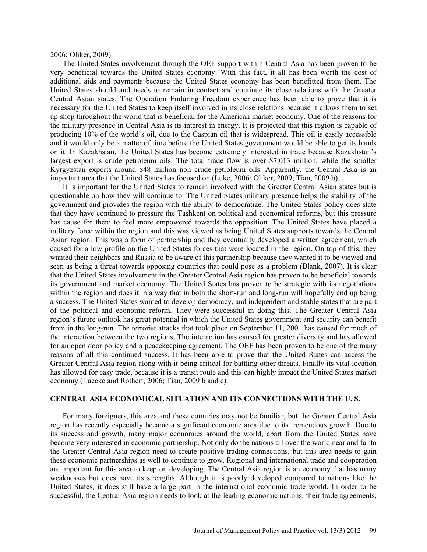2006; Oliker, 2009).

The United States involvement through the OEF support within Central Asia has been proven to be very beneficial towards the United States economy. With this fact, it all has been worth the cost of additional aids and payments because the United States economy has been benefitted from them. The United States should and needs to remain in contact and continue its close relations with the Greater Central Asian states. The Operation Enduring Freedom experience has been able to prove that it is necessary for the United States to keep itself involved in its close relations because it allows them to set up shop throughout the world that is beneficial for the American market economy. One of the reasons for the military presence in Central Asia is its interest in energy. It is projected that this region is capable of producing 10% of the world's oil, due to the Caspian oil that is widespread. This oil is easily accessible and it would only be a matter of time before the United States government would be able to get its hands on it. In Kazakhstan, the United States has become extremely interested in trade because Kazakhstan's largest export is crude petroleum oils. The total trade flow is over \$7,013 million, while the smaller Kyrgyzstan exports around \$48 million non crude petroleum oils. Apparently, the Central Asia is an important area that the United States has focused on (Luke, 2006; Oliker, 2009; Tian, 2009 b).

It is important for the United States to remain involved with the Greater Central Asian states but is questionable on how they will continue to. The United States military presence helps the stability of the government and provides the region with the ability to democratize. The United States policy does state that they have continued to pressure the Tashkent on political and economical reforms, but this pressure has cause for them to feel more empowered towards the opposition. The United States have placed a military force within the region and this was viewed as being United States supports towards the Central Asian region. This was a form of partnership and they eventually developed a written agreement, which caused for a low profile on the United States forces that were located in the region. On top of this, they wanted their neighbors and Russia to be aware of this partnership because they wanted it to be viewed and seen as being a threat towards opposing countries that could pose as a problem (Blank, 2007). It is clear that the United States involvement in the Greater Central Asia region has proven to be beneficial towards its government and market economy. The United States has proven to be strategic with its negotiations within the region and does it in a way that in both the short-run and long-run will hopefully end up being a success. The United States wanted to develop democracy, and independent and stable states that are part of the political and economic reform. They were successful in doing this. The Greater Central Asia region's future outlook has great potential in which the United States government and security can benefit from in the long-run. The terrorist attacks that took place on September 11, 2001 has caused for much of the interaction between the two regions. The interaction has caused for greater diversity and has allowed for an open door policy and a peacekeeping agreement. The OEF has been proven to be one of the many reasons of all this continued success. It has been able to prove that the United States can access the Greater Central Asia region along with it being critical for battling other threats. Finally its vital location has allowed for easy trade, because it is a transit route and this can highly impact the United States market economy (Luecke and Rothert, 2006; Tian, 2009 b and c).

### **CENTRAL ASIA ECONOMICAL SITUATION AND ITS CONNECTIONS WITH THE U. S.**

For many foreigners, this area and these countries may not be familiar, but the Greater Central Asia region has recently especially became a significant economic area due to its tremendous growth. Due to its success and growth, many major economies around the world, apart from the United States have become very interested in economic partnership. Not only do the nations all over the world near and far to the Greater Central Asia region need to create positive trading connections, but this area needs to gain these economic partnerships as well to continue to grow. Regional and international trade and cooperation are important for this area to keep on developing. The Central Asia region is an economy that has many weaknesses but does have its strengths. Although it is poorly developed compared to nations like the United States, it does still have a large part in the international economic trade world. In order to be successful, the Central Asia region needs to look at the leading economic nations, their trade agreements,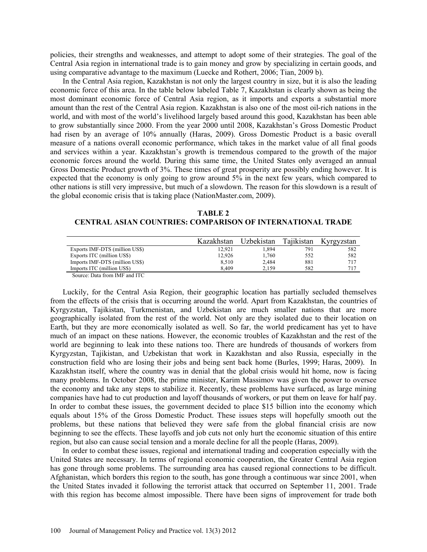policies, their strengths and weaknesses, and attempt to adopt some of their strategies. The goal of the Central Asia region in international trade is to gain money and grow by specializing in certain goods, and using comparative advantage to the maximum (Luecke and Rothert, 2006; Tian, 2009 b).

In the Central Asia region, Kazakhstan is not only the largest country in size, but it is also the leading economic force of this area. In the table below labeled Table 7, Kazakhstan is clearly shown as being the most dominant economic force of Central Asia region, as it imports and exports a substantial more amount than the rest of the Central Asia region. Kazakhstan is also one of the most oil-rich nations in the world, and with most of the world's livelihood largely based around this good, Kazakhstan has been able to grow substantially since 2000. From the year 2000 until 2008, Kazakhstan's Gross Domestic Product had risen by an average of 10% annually (Haras, 2009). Gross Domestic Product is a basic overall measure of a nations overall economic performance, which takes in the market value of all final goods and services within a year. Kazakhstan's growth is tremendous compared to the growth of the major economic forces around the world. During this same time, the United States only averaged an annual Gross Domestic Product growth of 3%. These times of great prosperity are possibly ending however. It is expected that the economy is only going to grow around 5% in the next few years, which compared to other nations is still very impressive, but much of a slowdown. The reason for this slowdown is a result of the global economic crisis that is taking place (NationMaster.com, 2009).

**TABLE 2 CENTRAL ASIAN COUNTRIES: COMPARISON OF INTERNATIONAL TRADE**

|                                                                         | Kazakhstan | Uzbekistan | Tajikistan | Kyrgyzstan |
|-------------------------------------------------------------------------|------------|------------|------------|------------|
| Exports IMF-DTS (million US\$)                                          | 12.921     | .894       | 791        | 582        |
| Exports ITC (million US\$)                                              | 12.926     | .760       | 552        | 582        |
| Imports IMF-DTS (million US\$)                                          | 8.510      | 2.484      | 881        | 717        |
| Imports ITC (million US\$)                                              | 8.409      | 2.159      | 582        | 717        |
| $\alpha$ $\beta$ , $\alpha$ $\beta$ , $\beta$ $\beta$ , $\beta$ $\beta$ |            |            |            |            |

Source: Data from IMF and ITC

Luckily, for the Central Asia Region, their geographic location has partially secluded themselves from the effects of the crisis that is occurring around the world. Apart from Kazakhstan, the countries of Kyrgyzstan, Tajikistan, Turkmenistan, and Uzbekistan are much smaller nations that are more geographically isolated from the rest of the world. Not only are they isolated due to their location on Earth, but they are more economically isolated as well. So far, the world predicament has yet to have much of an impact on these nations. However, the economic troubles of Kazakhstan and the rest of the world are beginning to leak into these nations too. There are hundreds of thousands of workers from Kyrgyzstan, Tajikistan, and Uzbekistan that work in Kazakhstan and also Russia, especially in the construction field who are losing their jobs and being sent back home (Burles, 1999; Haras, 2009). In Kazakhstan itself, where the country was in denial that the global crisis would hit home, now is facing many problems. In October 2008, the prime minister, Karim Massimov was given the power to oversee the economy and take any steps to stabilize it. Recently, these problems have surfaced, as large mining companies have had to cut production and layoff thousands of workers, or put them on leave for half pay. In order to combat these issues, the government decided to place \$15 billion into the economy which equals about 15% of the Gross Domestic Product. These issues steps will hopefully smooth out the problems, but these nations that believed they were safe from the global financial crisis are now beginning to see the effects. These layoffs and job cuts not only hurt the economic situation of this entire region, but also can cause social tension and a morale decline for all the people (Haras, 2009).

In order to combat these issues, regional and international trading and cooperation especially with the United States are necessary. In terms of regional economic cooperation, the Greater Central Asia region has gone through some problems. The surrounding area has caused regional connections to be difficult. Afghanistan, which borders this region to the south, has gone through a continuous war since 2001, when the United States invaded it following the terrorist attack that occurred on September 11, 2001. Trade with this region has become almost impossible. There have been signs of improvement for trade both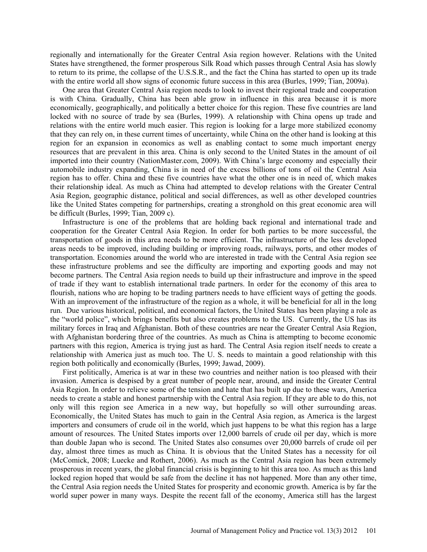regionally and internationally for the Greater Central Asia region however. Relations with the United States have strengthened, the former prosperous Silk Road which passes through Central Asia has slowly to return to its prime, the collapse of the U.S.S.R., and the fact the China has started to open up its trade with the entire world all show signs of economic future success in this area (Burles, 1999; Tian, 2009a).

One area that Greater Central Asia region needs to look to invest their regional trade and cooperation is with China. Gradually, China has been able grow in influence in this area because it is more economically, geographically, and politically a better choice for this region. These five countries are land locked with no source of trade by sea (Burles, 1999). A relationship with China opens up trade and relations with the entire world much easier. This region is looking for a large more stabilized economy that they can rely on, in these current times of uncertainty, while China on the other hand is looking at this region for an expansion in economics as well as enabling contact to some much important energy resources that are prevalent in this area. China is only second to the United States in the amount of oil imported into their country (NationMaster.com, 2009). With China's large economy and especially their automobile industry expanding, China is in need of the excess billions of tons of oil the Central Asia region has to offer. China and these five countries have what the other one is in need of, which makes their relationship ideal. As much as China had attempted to develop relations with the Greater Central Asia Region, geographic distance, political and social differences, as well as other developed countries like the United States competing for partnerships, creating a stronghold on this great economic area will be difficult (Burles, 1999; Tian, 2009 c).

Infrastructure is one of the problems that are holding back regional and international trade and cooperation for the Greater Central Asia Region. In order for both parties to be more successful, the transportation of goods in this area needs to be more efficient. The infrastructure of the less developed areas needs to be improved, including building or improving roads, railways, ports, and other modes of transportation. Economies around the world who are interested in trade with the Central Asia region see these infrastructure problems and see the difficulty are importing and exporting goods and may not become partners. The Central Asia region needs to build up their infrastructure and improve in the speed of trade if they want to establish international trade partners. In order for the economy of this area to flourish, nations who are hoping to be trading partners needs to have efficient ways of getting the goods. With an improvement of the infrastructure of the region as a whole, it will be beneficial for all in the long run. Due various historical, political, and economical factors, the United States has been playing a role as the "world police", which brings benefits but also creates problems to the US. Currently, the US has its military forces in Iraq and Afghanistan. Both of these countries are near the Greater Central Asia Region, with Afghanistan bordering three of the countries. As much as China is attempting to become economic partners with this region, America is trying just as hard. The Central Asia region itself needs to create a relationship with America just as much too. The U. S. needs to maintain a good relationship with this region both politically and economically (Burles, 1999; Jawad, 2009).

First politically, America is at war in these two countries and neither nation is too pleased with their invasion. America is despised by a great number of people near, around, and inside the Greater Central Asia Region. In order to relieve some of the tension and hate that has built up due to these wars, America needs to create a stable and honest partnership with the Central Asia region. If they are able to do this, not only will this region see America in a new way, but hopefully so will other surrounding areas. Economically, the United States has much to gain in the Central Asia region, as America is the largest importers and consumers of crude oil in the world, which just happens to be what this region has a large amount of resources. The United States imports over 12,000 barrels of crude oil per day, which is more than double Japan who is second. The United States also consumes over 20,000 barrels of crude oil per day, almost three times as much as China. It is obvious that the United States has a necessity for oil (McComick, 2008; Luecke and Rothert, 2006). As much as the Central Asia region has been extremely prosperous in recent years, the global financial crisis is beginning to hit this area too. As much as this land locked region hoped that would be safe from the decline it has not happened. More than any other time, the Central Asia region needs the United States for prosperity and economic growth. America is by far the world super power in many ways. Despite the recent fall of the economy, America still has the largest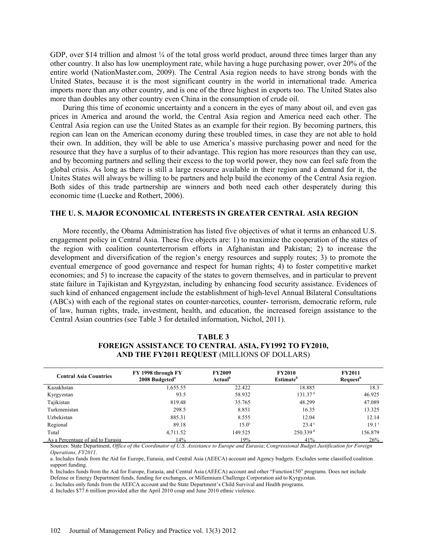GDP, over \$14 trillion and almost  $\frac{1}{4}$  of the total gross world product, around three times larger than any other country. It also has low unemployment rate, while having a huge purchasing power, over 20% of the entire world (NationMaster.com, 2009). The Central Asia region needs to have strong bonds with the United States, because it is the most significant country in the world in international trade. America imports more than any other country, and is one of the three highest in exports too. The United States also more than doubles any other country even China in the consumption of crude oil.

During this time of economic uncertainty and a concern in the eyes of many about oil, and even gas prices in America and around the world, the Central Asia region and America need each other. The Central Asia region can use the United States as an example for their region. By becoming partners, this region can lean on the American economy during these troubled times, in case they are not able to hold their own. In addition, they will be able to use America's massive purchasing power and need for the resource that they have a surplus of to their advantage. This region has more resources than they can use, and by becoming partners and selling their excess to the top world power, they now can feel safe from the global crisis. As long as there is still a large resource available in their region and a demand for it, the Unites States will always be willing to be partners and help build the economy of the Central Asia region. Both sides of this trade partnership are winners and both need each other desperately during this economic time (Luecke and Rothert, 2006).

#### **THE U. S. MAJOR ECONOMICAL INTERESTS IN GREATER CENTRAL ASIA REGION**

More recently, the Obama Administration has listed five objectives of what it terms an enhanced U.S. engagement policy in Central Asia. These five objects are: 1) to maximize the cooperation of the states of the region with coalition counterterrorism efforts in Afghanistan and Pakistan; 2) to increase the development and diversification of the region's energy resources and supply routes; 3) to promote the eventual emergence of good governance and respect for human rights; 4) to foster competitive market economies; and 5) to increase the capacity of the states to govern themselves, and in particular to prevent state failure in Tajikistan and Kyrgyzstan, including by enhancing food security assistance. Evidences of such kind of enhanced engagement include the establishment of high-level Annual Bilateral Consultations (ABCs) with each of the regional states on counter-narcotics, counter- terrorism, democratic reform, rule of law, human rights, trade, investment, health, and education, the increased foreign assistance to the Central Asian countries (see Table 3 for detailed information, Nichol, 2011).

| <b>Central Asia Countries</b>     | FY 1998 through FY<br>2008 Budgeted <sup>a</sup> | <b>FY2009</b><br>Actual <sup>b</sup> | <b>FY2010</b><br><b>Estimate</b> <sup>b</sup> | <b>FY2011</b><br><b>Request</b> <sup>b</sup> |
|-----------------------------------|--------------------------------------------------|--------------------------------------|-----------------------------------------------|----------------------------------------------|
| Kazakhstan                        | 1,655.55                                         | 22.422                               | 18.885                                        | 18.3                                         |
| Kyrgyzstan                        | 93.5                                             | 58.932                               | 131.37 <sup>d</sup>                           | 46.925                                       |
| Tajikistan                        | 819.48                                           | 35.765                               | 48.299                                        | 47.089                                       |
| Turkmenistan                      | 298.5                                            | 8.851                                | 16.35                                         | 13.325                                       |
| Uzbekistan                        | 885.31                                           | 8.555                                | 12.04                                         | 12.14                                        |
| Regional                          | 89.18                                            | $15.0^\circ$                         | $23.4^\circ$                                  | 19.1 <sup>c</sup>                            |
| Total                             | 4,711.52                                         | 149.525                              | $250.339$ <sup>d</sup>                        | 156.879                                      |
| As a Percentage of aid to Eurasia | 14%                                              | 19%                                  | 41%                                           | 26%                                          |

# **TABLE 3 FOREIGN ASSISTANCE TO CENTRAL ASIA, FY1992 TO FY2010, AND THE FY2011 REQUEST** (MILLIONS OF DOLLARS)

Sources: State Department, *Office of the Coordinator of U.S. Assistance to Europe and Eurasia*; *Congressional Budget Justification for Foreign Operations, FY2011*.

a. Includes funds from the Aid for Europe, Eurasia, and Central Asia (AEECA) account and Agency budgets. Excludes some classified coalition support funding.

b. Includes funds from the Aid for Europe, Eurasia, and Central Asia (AEECA) account and other "Function150" programs. Does not include Defense or Energy Department funds, funding for exchanges, or Millennium Challenge Corporation aid to Kyrgyzstan.

c. Includes only funds from the AEECA account and the State Department's Child Survival and Health programs.

d. Includes \$77.6 million provided after the April 2010 coup and June 2010 ethnic violence.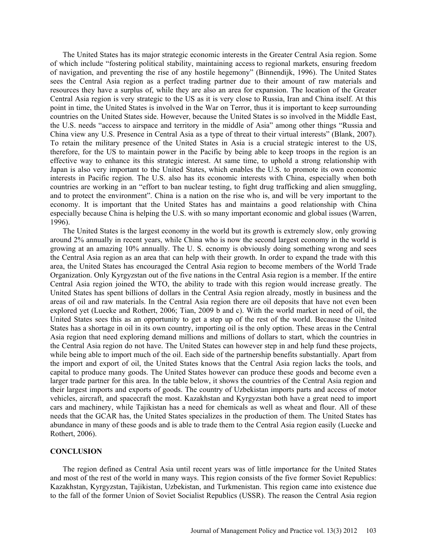The United States has its major strategic economic interests in the Greater Central Asia region. Some of which include "fostering political stability, maintaining access to regional markets, ensuring freedom of navigation, and preventing the rise of any hostile hegemony" (Binnendijk, 1996). The United States sees the Central Asia region as a perfect trading partner due to their amount of raw materials and resources they have a surplus of, while they are also an area for expansion. The location of the Greater Central Asia region is very strategic to the US as it is very close to Russia, Iran and China itself. At this point in time, the United States is involved in the War on Terror, thus it is important to keep surrounding countries on the United States side. However, because the United States is so involved in the Middle East, the U.S. needs "access to airspace and territory in the middle of Asia" among other things "Russia and China view any U.S. Presence in Central Asia as a type of threat to their virtual interests" (Blank, 2007). To retain the military presence of the United States in Asia is a crucial strategic interest to the US, therefore, for the US to maintain power in the Pacific by being able to keep troops in the region is an effective way to enhance its this strategic interest. At same time, to uphold a strong relationship with Japan is also very important to the United States, which enables the U.S. to promote its own economic interests in Pacific region. The U.S. also has its economic interests with China, especially when both countries are working in an "effort to ban nuclear testing, to fight drug trafficking and alien smuggling, and to protect the environment". China is a nation on the rise who is, and will be very important to the economy. It is important that the United States has and maintains a good relationship with China especially because China is helping the U.S. with so many important economic and global issues (Warren, 1996).

The United States is the largest economy in the world but its growth is extremely slow, only growing around 2% annually in recent years, while China who is now the second largest economy in the world is growing at an amazing 10% annually. The U. S. ecnomy is obviously doing something wrong and sees the Central Asia region as an area that can help with their growth. In order to expand the trade with this area, the United States has encouraged the Central Asia region to become members of the World Trade Organization. Only Kyrgyzstan out of the five nations in the Central Asia region is a member. If the entire Central Asia region joined the WTO, the ability to trade with this region would increase greatly. The United States has spent billions of dollars in the Central Asia region already, mostly in business and the areas of oil and raw materials. In the Central Asia region there are oil deposits that have not even been explored yet (Luecke and Rothert, 2006; Tian, 2009 b and c). With the world market in need of oil, the United States sees this as an opportunity to get a step up of the rest of the world. Because the United States has a shortage in oil in its own country, importing oil is the only option. These areas in the Central Asia region that need exploring demand millions and millions of dollars to start, which the countries in the Central Asia region do not have. The United States can however step in and help fund these projects, while being able to import much of the oil. Each side of the partnership benefits substantially. Apart from the import and export of oil, the United States knows that the Central Asia region lacks the tools, and capital to produce many goods. The United States however can produce these goods and become even a larger trade partner for this area. In the table below, it shows the countries of the Central Asia region and their largest imports and exports of goods. The country of Uzbekistan imports parts and access of motor vehicles, aircraft, and spacecraft the most. Kazakhstan and Kyrgyzstan both have a great need to import cars and machinery, while Tajikistan has a need for chemicals as well as wheat and flour. All of these needs that the GCAR has, the United States specializes in the production of them. The United States has abundance in many of these goods and is able to trade them to the Central Asia region easily (Luecke and Rothert, 2006).

### **CONCLUSION**

The region defined as Central Asia until recent years was of little importance for the United States and most of the rest of the world in many ways. This region consists of the five former Soviet Republics: Kazakhstan, Kyrgyzstan, Tajikistan, Uzbekistan, and Turkmenistan. This region came into existence due to the fall of the former Union of Soviet Socialist Republics (USSR). The reason the Central Asia region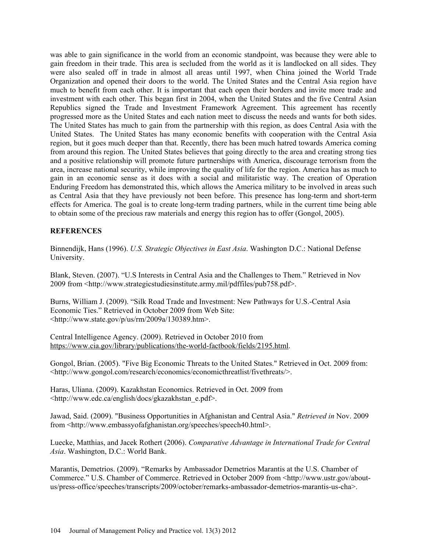was able to gain significance in the world from an economic standpoint, was because they were able to gain freedom in their trade. This area is secluded from the world as it is landlocked on all sides. They were also sealed off in trade in almost all areas until 1997, when China joined the World Trade Organization and opened their doors to the world. The United States and the Central Asia region have much to benefit from each other. It is important that each open their borders and invite more trade and investment with each other. This began first in 2004, when the United States and the five Central Asian Republics signed the Trade and Investment Framework Agreement. This agreement has recently progressed more as the United States and each nation meet to discuss the needs and wants for both sides. The United States has much to gain from the partnership with this region, as does Central Asia with the United States. The United States has many economic benefits with cooperation with the Central Asia region, but it goes much deeper than that. Recently, there has been much hatred towards America coming from around this region. The United States believes that going directly to the area and creating strong ties and a positive relationship will promote future partnerships with America, discourage terrorism from the area, increase national security, while improving the quality of life for the region. America has as much to gain in an economic sense as it does with a social and militaristic way. The creation of Operation Enduring Freedom has demonstrated this, which allows the America military to be involved in areas such as Central Asia that they have previously not been before. This presence has long-term and short-term effects for America. The goal is to create long-term trading partners, while in the current time being able to obtain some of the precious raw materials and energy this region has to offer (Gongol, 2005).

# **REFERENCES**

Binnendijk, Hans (1996). *U.S. Strategic Objectives in East Asia*. Washington D.C.: National Defense University.

Blank, Steven. (2007). "U.S Interests in Central Asia and the Challenges to Them." Retrieved in Nov 2009 from <http://www.strategicstudiesinstitute.army.mil/pdffiles/pub758.pdf>.

Burns, William J. (2009). "Silk Road Trade and Investment: New Pathways for U.S.-Central Asia Economic Ties." Retrieved in October 2009 from Web Site: <http://www.state.gov/p/us/rm/2009a/130389.htm>.

Central Intelligence Agency. (2009). Retrieved in October 2010 from https://www.cia.gov/library/publications/the-world-factbook/fields/2195.html.

Gongol, Brian. (2005). "Five Big Economic Threats to the United States." Retrieved in Oct. 2009 from: <http://www.gongol.com/research/economics/economicthreatlist/fivethreats/>.

Haras, Uliana. (2009). Kazakhstan Economics. Retrieved in Oct. 2009 from <http://www.edc.ca/english/docs/gkazakhstan\_e.pdf>.

Jawad, Said. (2009). "Business Opportunities in Afghanistan and Central Asia." *Retrieved in* Nov. 2009 from <http://www.embassyofafghanistan.org/speeches/speech40.html>.

Luecke, Matthias, and Jacek Rothert (2006). *Comparative Advantage in International Trade for Central Asia*. Washington, D.C.: World Bank.

Marantis, Demetrios. (2009). "Remarks by Ambassador Demetrios Marantis at the U.S. Chamber of Commerce." U.S. Chamber of Commerce. Retrieved in October 2009 from <http://www.ustr.gov/aboutus/press-office/speeches/transcripts/2009/october/remarks-ambassador-demetrios-marantis-us-cha>.